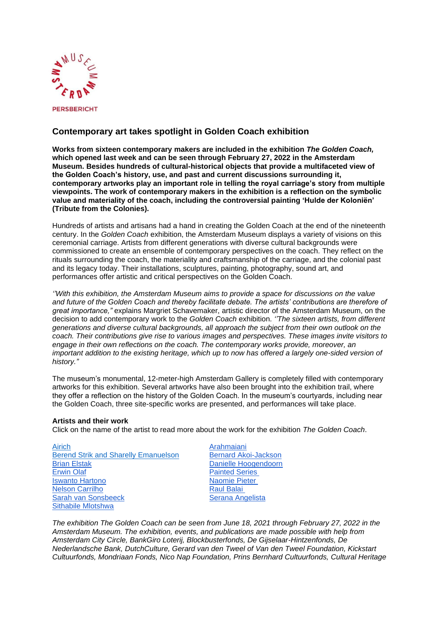

## **Contemporary art takes spotlight in Golden Coach exhibition**

**Works from sixteen contemporary makers are included in the exhibition** *The Golden Coach,* **which opened last week and can be seen through February 27, 2022 in the Amsterdam Museum. Besides hundreds of cultural-historical objects that provide a multifaceted view of the Golden Coach's history, use, and past and current discussions surrounding it, contemporary artworks play an important role in telling the royal carriage's story from multiple viewpoints. The work of contemporary makers in the exhibition is a reflection on the symbolic value and materiality of the coach, including the controversial painting 'Hulde der Koloniën' (Tribute from the Colonies).** 

Hundreds of artists and artisans had a hand in creating the Golden Coach at the end of the nineteenth century. In the *Golden Coach* exhibition, the Amsterdam Museum displays a variety of visions on this ceremonial carriage. Artists from different generations with diverse cultural backgrounds were commissioned to create an ensemble of contemporary perspectives on the coach. They reflect on the rituals surrounding the coach, the materiality and craftsmanship of the carriage, and the colonial past and its legacy today. Their installations, sculptures, painting, photography, sound art, and performances offer artistic and critical perspectives on the Golden Coach.

*''With this exhibition, the Amsterdam Museum aims to provide a space for discussions on the value and future of the Golden Coach and thereby facilitate debate. The artists' contributions are therefore of great importance,"* explains Margriet Schavemaker, artistic director of the Amsterdam Museum, on the decision to add contemporary work to the *Golden Coach* exhibition. *''The sixteen artists, from different generations and diverse cultural backgrounds, all approach the subject from their own outlook on the coach. Their contributions give rise to various images and perspectives. These images invite visitors to engage in their own reflections on the coach. The contemporary works provide, moreover, an important addition to the existing heritage, which up to now has offered a largely one-sided version of history."* 

The museum's monumental, 12-meter-high Amsterdam Gallery is completely filled with contemporary artworks for this exhibition. Several artworks have also been brought into the exhibition trail, where they offer a reflection on the history of the Golden Coach. In the museum's courtyards, including near the Golden Coach, three site-specific works are presented, and performances will take place.

## **Artists and their work**

Click on the name of the artist to read more about the work for the exhibition *The Golden Coach*.

| Airich                                      |
|---------------------------------------------|
| <b>Berend Strik and Sharelly Emanuelson</b> |
| <b>Brian Elstak</b>                         |
| <b>Erwin Olaf</b>                           |
| <b>Iswanto Hartono</b>                      |
| <b>Nelson Carrilho</b>                      |
| Sarah van Sonsbeeck                         |
| <b>Sithabile Mlotshwa</b>                   |

[Arahmaiani](https://goudenkoets.nl/en/arahmaiani) [Bernard Akoi-Jackson](https://goudenkoets.nl/en/bernard-akoi-jackson) [Danielle Hoogendoorn](https://goudenkoets.nl/en/danielle-hoogendoorn) [Painted Series](https://goudenkoets.nl/en/painted-series) [Naomie Pieter](https://goudenkoets.nl/en/naomie-pieter) **[Raul Balai](https://goudenkoets.nl/en/raul-balai)** [Serana Angelista](https://goudenkoets.nl/en/serana-angelista)

*The exhibition The Golden Coach can be seen from June 18, 2021 through February 27, 2022 in the Amsterdam Museum. The exhibition, events, and publications are made possible with help from Amsterdam City Circle, BankGiro Loterij, Blockbusterfonds, De Gijselaar-Hintzenfonds, De Nederlandsche Bank, DutchCulture, Gerard van den Tweel of Van den Tweel Foundation, Kickstart Cultuurfonds, Mondriaan Fonds, Nico Nap Foundation, Prins Bernhard Cultuurfonds, Cultural Heritage*